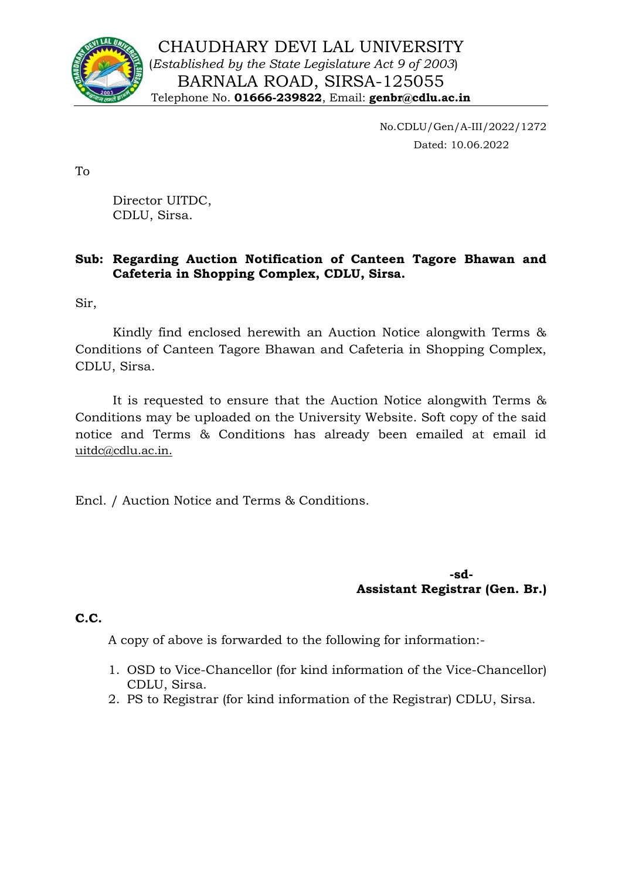

No.CDLU/Gen/A-III/2022/1272 Dated: 10.06.2022

To

Director UITDC, CDLU, Sirsa.

### **Sub: Regarding Auction Notification of Canteen Tagore Bhawan and Cafeteria in Shopping Complex, CDLU, Sirsa.**

Sir,

Kindly find enclosed herewith an Auction Notice alongwith Terms & Conditions of Canteen Tagore Bhawan and Cafeteria in Shopping Complex, CDLU, Sirsa.

It is requested to ensure that the Auction Notice alongwith Terms & Conditions may be uploaded on the University Website. Soft copy of the said notice and Terms & Conditions has already been emailed at email id uitdc@cdlu.ac.in.

Encl. / Auction Notice and Terms & Conditions.

**-sd-Assistant Registrar (Gen. Br.)**

**C.C.**

A copy of above is forwarded to the following for information:-

- 1. OSD to Vice-Chancellor (for kind information of the Vice-Chancellor) CDLU, Sirsa.
- 2. PS to Registrar (for kind information of the Registrar) CDLU, Sirsa.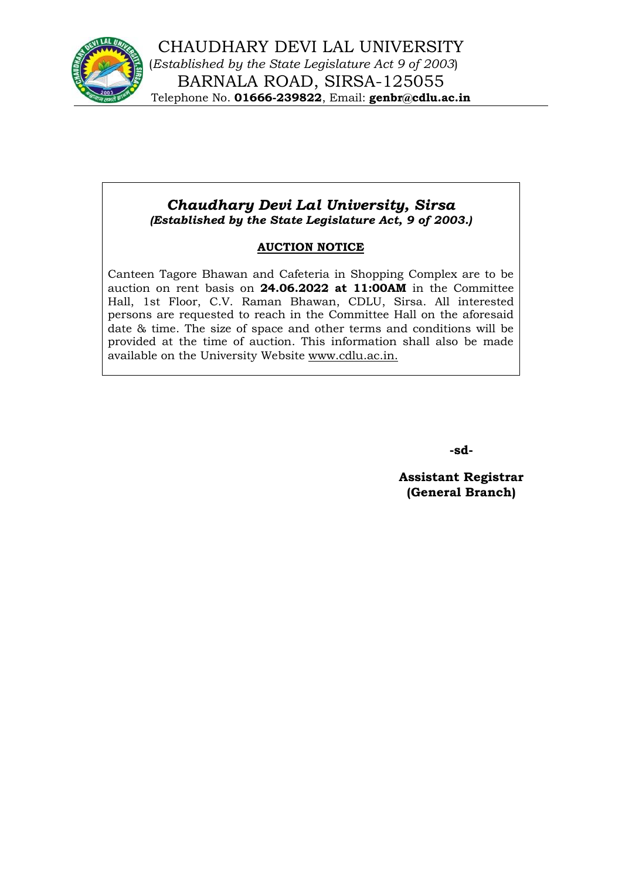

## *Chaudhary Devi Lal University, Sirsa (Established by the State Legislature Act, 9 of 2003.)*

## **AUCTION NOTICE**

Canteen Tagore Bhawan and Cafeteria in Shopping Complex are to be auction on rent basis on **24.06.2022 at 11:00AM** in the Committee Hall, 1st Floor, C.V. Raman Bhawan, CDLU, Sirsa. All interested persons are requested to reach in the Committee Hall on the aforesaid date & time. The size of space and other terms and conditions will be provided at the time of auction. This information shall also be made available on the University Website www.cdlu.ac.in.

**-sd-**

**Assistant Registrar (General Branch)**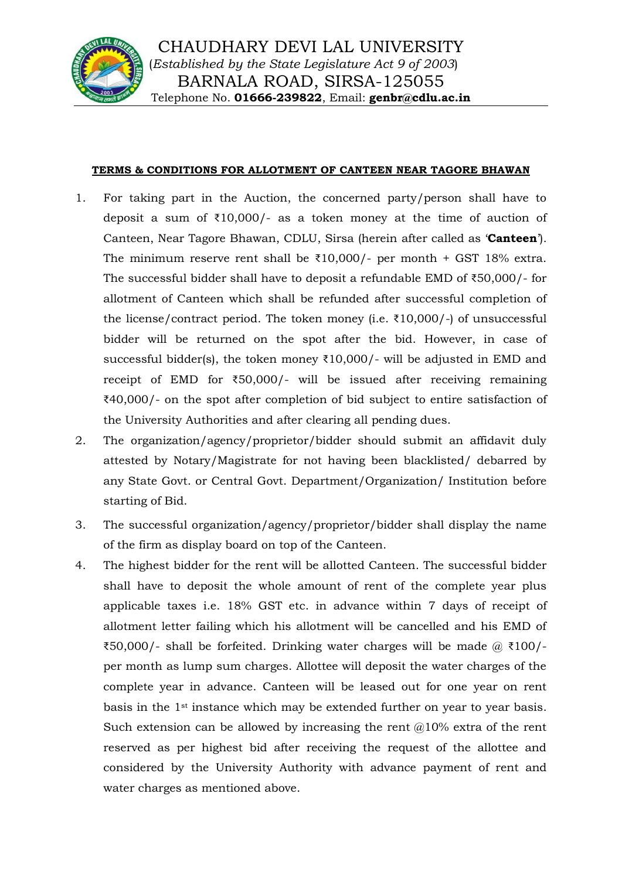

#### **TERMS & CONDITIONS FOR ALLOTMENT OF CANTEEN NEAR TAGORE BHAWAN**

- 1. For taking part in the Auction, the concerned party/person shall have to deposit a sum of ₹10,000/- as a token money at the time of auction of Canteen, Near Tagore Bhawan, CDLU, Sirsa (herein after called as '**Canteen**'). The minimum reserve rent shall be  $\overline{210,000}$ /- per month + GST 18% extra. The successful bidder shall have to deposit a refundable EMD of ₹50,000/- for allotment of Canteen which shall be refunded after successful completion of the license/contract period. The token money (i.e.  $\overline{\xi}10,000$ )-) of unsuccessful bidder will be returned on the spot after the bid. However, in case of successful bidder(s), the token money  $\text{\textdegree{10,000}}$  - will be adjusted in EMD and receipt of EMD for ₹50,000/- will be issued after receiving remaining ₹40,000/- on the spot after completion of bid subject to entire satisfaction of the University Authorities and after clearing all pending dues.
- 2. The organization/agency/proprietor/bidder should submit an affidavit duly attested by Notary/Magistrate for not having been blacklisted/ debarred by any State Govt. or Central Govt. Department/Organization/ Institution before starting of Bid.
- 3. The successful organization/agency/proprietor/bidder shall display the name of the firm as display board on top of the Canteen.
- 4. The highest bidder for the rent will be allotted Canteen. The successful bidder shall have to deposit the whole amount of rent of the complete year plus applicable taxes i.e. 18% GST etc. in advance within 7 days of receipt of allotment letter failing which his allotment will be cancelled and his EMD of  $\text{\textsterling}50,000$ /- shall be forfeited. Drinking water charges will be made @  $\text{\textsterling}100$ /per month as lump sum charges. Allottee will deposit the water charges of the complete year in advance. Canteen will be leased out for one year on rent basis in the 1st instance which may be extended further on year to year basis. Such extension can be allowed by increasing the rent  $@10\%$  extra of the rent reserved as per highest bid after receiving the request of the allottee and considered by the University Authority with advance payment of rent and water charges as mentioned above.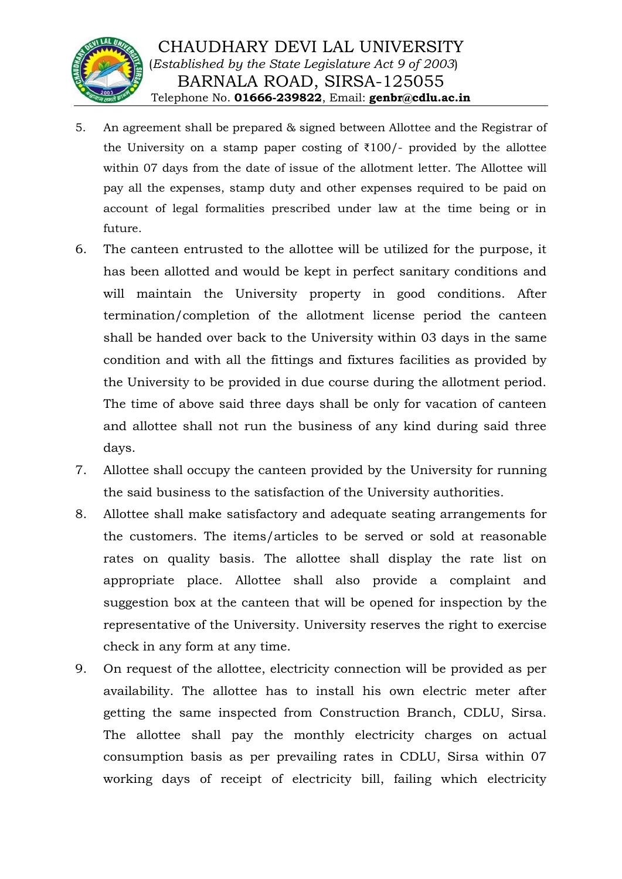

- 5. An agreement shall be prepared & signed between Allottee and the Registrar of the University on a stamp paper costing of  $\overline{\tau}100$ /- provided by the allottee within 07 days from the date of issue of the allotment letter. The Allottee will pay all the expenses, stamp duty and other expenses required to be paid on account of legal formalities prescribed under law at the time being or in future.
- 6. The canteen entrusted to the allottee will be utilized for the purpose, it has been allotted and would be kept in perfect sanitary conditions and will maintain the University property in good conditions. After termination/completion of the allotment license period the canteen shall be handed over back to the University within 03 days in the same condition and with all the fittings and fixtures facilities as provided by the University to be provided in due course during the allotment period. The time of above said three days shall be only for vacation of canteen and allottee shall not run the business of any kind during said three days.
- 7. Allottee shall occupy the canteen provided by the University for running the said business to the satisfaction of the University authorities.
- 8. Allottee shall make satisfactory and adequate seating arrangements for the customers. The items/articles to be served or sold at reasonable rates on quality basis. The allottee shall display the rate list on appropriate place. Allottee shall also provide a complaint and suggestion box at the canteen that will be opened for inspection by the representative of the University. University reserves the right to exercise check in any form at any time.
- 9. On request of the allottee, electricity connection will be provided as per availability. The allottee has to install his own electric meter after getting the same inspected from Construction Branch, CDLU, Sirsa. The allottee shall pay the monthly electricity charges on actual consumption basis as per prevailing rates in CDLU, Sirsa within 07 working days of receipt of electricity bill, failing which electricity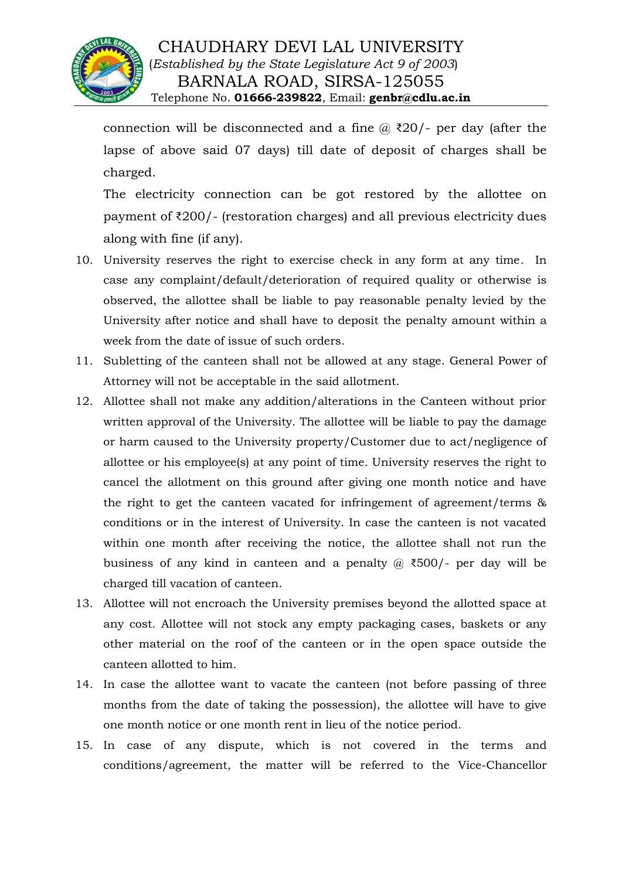

# CHAUDHARY DEVI LAL UNIVERSITY (*Established by the State Legislature Act 9 of 2003*) BARNALA ROAD, SIRSA-125055 Telephone No. **01666-239822**, Email: **genbr@cdlu.ac.in**

connection will be disconnected and a fine  $\omega$  ₹20/- per day (after the lapse of above said 07 days) till date of deposit of charges shall be charged.

The electricity connection can be got restored by the allottee on payment of ₹200/- (restoration charges) and all previous electricity dues along with fine (if any).

- 10. University reserves the right to exercise check in any form at any time. In case any complaint/default/deterioration of required quality or otherwise is observed, the allottee shall be liable to pay reasonable penalty levied by the University after notice and shall have to deposit the penalty amount within a week from the date of issue of such orders.
- 11. Subletting of the canteen shall not be allowed at any stage. General Power of Attorney will not be acceptable in the said allotment.
- 12. Allottee shall not make any addition/alterations in the Canteen without prior written approval of the University. The allottee will be liable to pay the damage or harm caused to the University property/Customer due to act/negligence of allottee or his employee(s) at any point of time. University reserves the right to cancel the allotment on this ground after giving one month notice and have the right to get the canteen vacated for infringement of agreement/terms & conditions or in the interest of University. In case the canteen is not vacated within one month after receiving the notice, the allottee shall not run the business of any kind in canteen and a penalty  $\omega$  ₹500/- per day will be charged till vacation of canteen.
- 13. Allottee will not encroach the University premises beyond the allotted space at any cost. Allottee will not stock any empty packaging cases, baskets or any other material on the roof of the canteen or in the open space outside the canteen allotted to him.
- 14. In case the allottee want to vacate the canteen (not before passing of three months from the date of taking the possession), the allottee will have to give one month notice or one month rent in lieu of the notice period.
- 15. In case of any dispute, which is not covered in the terms and conditions/agreement, the matter will be referred to the Vice-Chancellor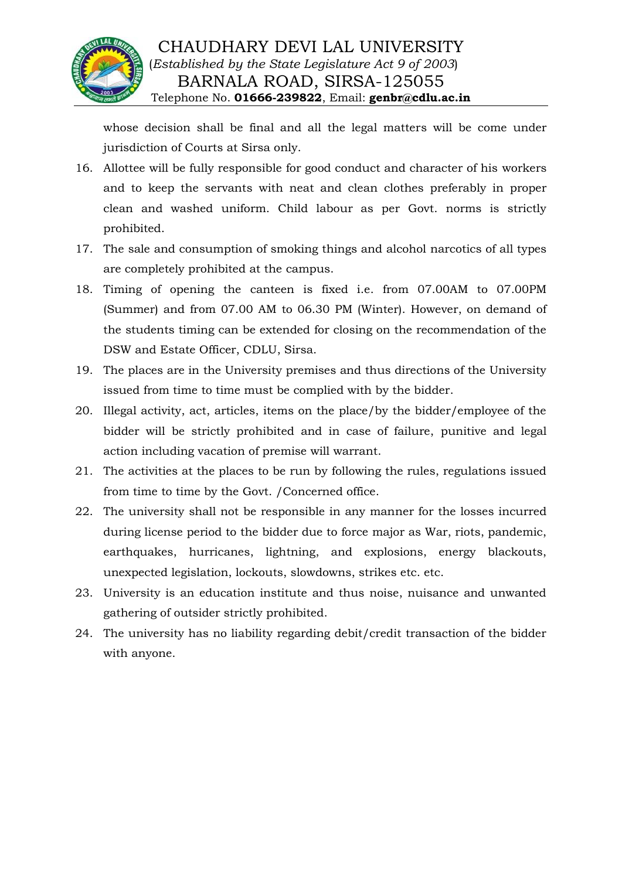

whose decision shall be final and all the legal matters will be come under jurisdiction of Courts at Sirsa only.

- 16. Allottee will be fully responsible for good conduct and character of his workers and to keep the servants with neat and clean clothes preferably in proper clean and washed uniform. Child labour as per Govt. norms is strictly prohibited.
- 17. The sale and consumption of smoking things and alcohol narcotics of all types are completely prohibited at the campus.
- 18. Timing of opening the canteen is fixed i.e. from 07.00AM to 07.00PM (Summer) and from 07.00 AM to 06.30 PM (Winter). However, on demand of the students timing can be extended for closing on the recommendation of the DSW and Estate Officer, CDLU, Sirsa.
- 19. The places are in the University premises and thus directions of the University issued from time to time must be complied with by the bidder.
- 20. Illegal activity, act, articles, items on the place/by the bidder/employee of the bidder will be strictly prohibited and in case of failure, punitive and legal action including vacation of premise will warrant.
- 21. The activities at the places to be run by following the rules, regulations issued from time to time by the Govt. /Concerned office.
- 22. The university shall not be responsible in any manner for the losses incurred during license period to the bidder due to force major as War, riots, pandemic, earthquakes, hurricanes, lightning, and explosions, energy blackouts, unexpected legislation, lockouts, slowdowns, strikes etc. etc.
- 23. University is an education institute and thus noise, nuisance and unwanted gathering of outsider strictly prohibited.
- 24. The university has no liability regarding debit/credit transaction of the bidder with anyone.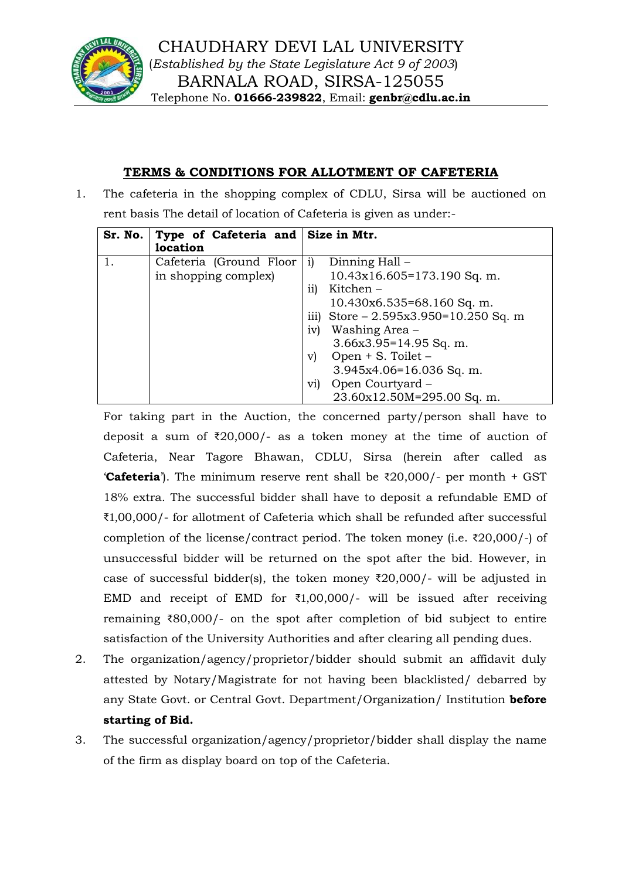

### **TERMS & CONDITIONS FOR ALLOTMENT OF CAFETERIA**

1. The cafeteria in the shopping complex of CDLU, Sirsa will be auctioned on rent basis The detail of location of Cafeteria is given as under:-

| Sr. No. | Type of Cafeteria and Size in Mtr.<br>location  |                                                                                                                                                                                                          |
|---------|-------------------------------------------------|----------------------------------------------------------------------------------------------------------------------------------------------------------------------------------------------------------|
| 1.      | Cafeteria (Ground Floor<br>in shopping complex) | Dinning Hall –<br>1)<br>$10.43x16.605=173.190$ Sq. m.<br>Kitchen –<br>11)<br>$10.430x6.535=68.160$ Sq. m.<br>iii) Store $-2.595x3.950=10.250$ Sq. m<br>iv)<br>Washing Area –<br>$3.66x3.95=14.95$ Sq. m. |
|         |                                                 | Open $+$ S. Toilet $-$<br>V)<br>3.945x4.06=16.036 Sq. m.<br>Open Courtyard -<br>V1<br>23.60x12.50M=295.00 Sq. m.                                                                                         |

For taking part in the Auction, the concerned party/person shall have to deposit a sum of ₹20,000/- as a token money at the time of auction of Cafeteria, Near Tagore Bhawan, CDLU, Sirsa (herein after called as **'Cafeteria**'). The minimum reserve rent shall be  $\overline{\tau}20,000$ /- per month + GST 18% extra. The successful bidder shall have to deposit a refundable EMD of ₹1,00,000/- for allotment of Cafeteria which shall be refunded after successful completion of the license/contract period. The token money (i.e. ₹20,000/-) of unsuccessful bidder will be returned on the spot after the bid. However, in case of successful bidder(s), the token money  $\bar{\chi}$ 20,000/- will be adjusted in EMD and receipt of EMD for  $\overline{\epsilon}1,00,000$ /- will be issued after receiving remaining ₹80,000/- on the spot after completion of bid subject to entire satisfaction of the University Authorities and after clearing all pending dues.

- 2. The organization/agency/proprietor/bidder should submit an affidavit duly attested by Notary/Magistrate for not having been blacklisted/ debarred by any State Govt. or Central Govt. Department/Organization/ Institution **before starting of Bid.**
- 3. The successful organization/agency/proprietor/bidder shall display the name of the firm as display board on top of the Cafeteria.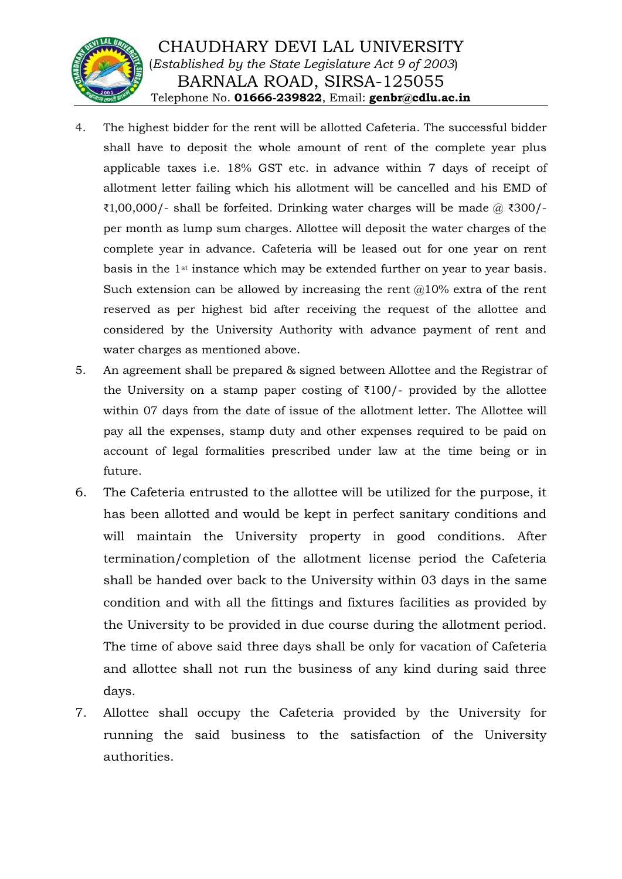

- 4. The highest bidder for the rent will be allotted Cafeteria. The successful bidder shall have to deposit the whole amount of rent of the complete year plus applicable taxes i.e. 18% GST etc. in advance within 7 days of receipt of allotment letter failing which his allotment will be cancelled and his EMD of  $\text{\textsterling}1,00,000$ /- shall be forfeited. Drinking water charges will be made @  $\text{\textsterling}300$ /per month as lump sum charges. Allottee will deposit the water charges of the complete year in advance. Cafeteria will be leased out for one year on rent basis in the 1st instance which may be extended further on year to year basis. Such extension can be allowed by increasing the rent  $@10%$  extra of the rent reserved as per highest bid after receiving the request of the allottee and considered by the University Authority with advance payment of rent and water charges as mentioned above.
- 5. An agreement shall be prepared & signed between Allottee and the Registrar of the University on a stamp paper costing of  $\overline{\xi}100$ /- provided by the allottee within 07 days from the date of issue of the allotment letter. The Allottee will pay all the expenses, stamp duty and other expenses required to be paid on account of legal formalities prescribed under law at the time being or in future.
- 6. The Cafeteria entrusted to the allottee will be utilized for the purpose, it has been allotted and would be kept in perfect sanitary conditions and will maintain the University property in good conditions. After termination/completion of the allotment license period the Cafeteria shall be handed over back to the University within 03 days in the same condition and with all the fittings and fixtures facilities as provided by the University to be provided in due course during the allotment period. The time of above said three days shall be only for vacation of Cafeteria and allottee shall not run the business of any kind during said three days.
- 7. Allottee shall occupy the Cafeteria provided by the University for running the said business to the satisfaction of the University authorities.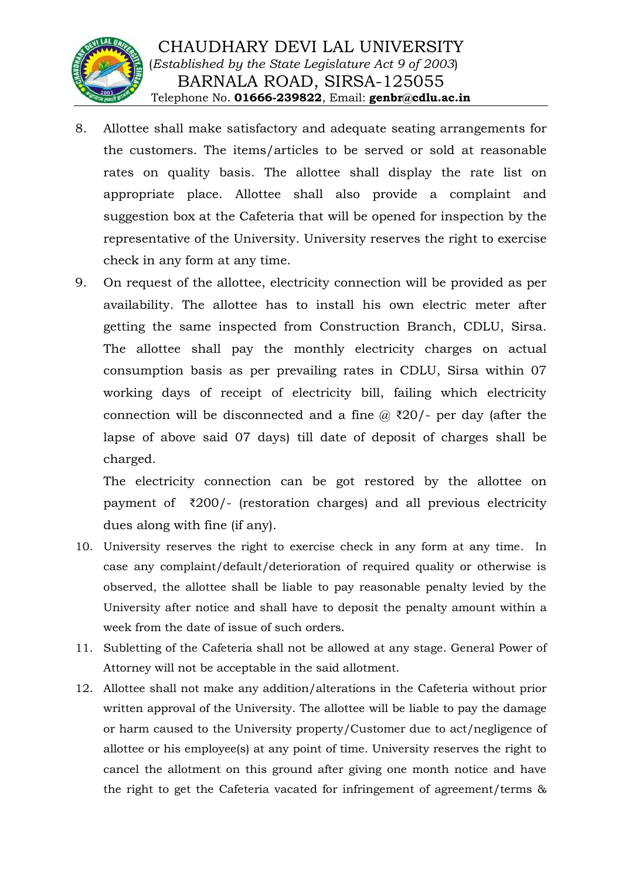

- 8. Allottee shall make satisfactory and adequate seating arrangements for the customers. The items/articles to be served or sold at reasonable rates on quality basis. The allottee shall display the rate list on appropriate place. Allottee shall also provide a complaint and suggestion box at the Cafeteria that will be opened for inspection by the representative of the University. University reserves the right to exercise check in any form at any time.
- 9. On request of the allottee, electricity connection will be provided as per availability. The allottee has to install his own electric meter after getting the same inspected from Construction Branch, CDLU, Sirsa. The allottee shall pay the monthly electricity charges on actual consumption basis as per prevailing rates in CDLU, Sirsa within 07 working days of receipt of electricity bill, failing which electricity connection will be disconnected and a fine  $\omega$  ₹20/- per day (after the lapse of above said 07 days) till date of deposit of charges shall be charged.

The electricity connection can be got restored by the allottee on payment of ₹200/- (restoration charges) and all previous electricity dues along with fine (if any).

- 10. University reserves the right to exercise check in any form at any time. In case any complaint/default/deterioration of required quality or otherwise is observed, the allottee shall be liable to pay reasonable penalty levied by the University after notice and shall have to deposit the penalty amount within a week from the date of issue of such orders.
- 11. Subletting of the Cafeteria shall not be allowed at any stage. General Power of Attorney will not be acceptable in the said allotment.
- 12. Allottee shall not make any addition/alterations in the Cafeteria without prior written approval of the University. The allottee will be liable to pay the damage or harm caused to the University property/Customer due to act/negligence of allottee or his employee(s) at any point of time. University reserves the right to cancel the allotment on this ground after giving one month notice and have the right to get the Cafeteria vacated for infringement of agreement/terms &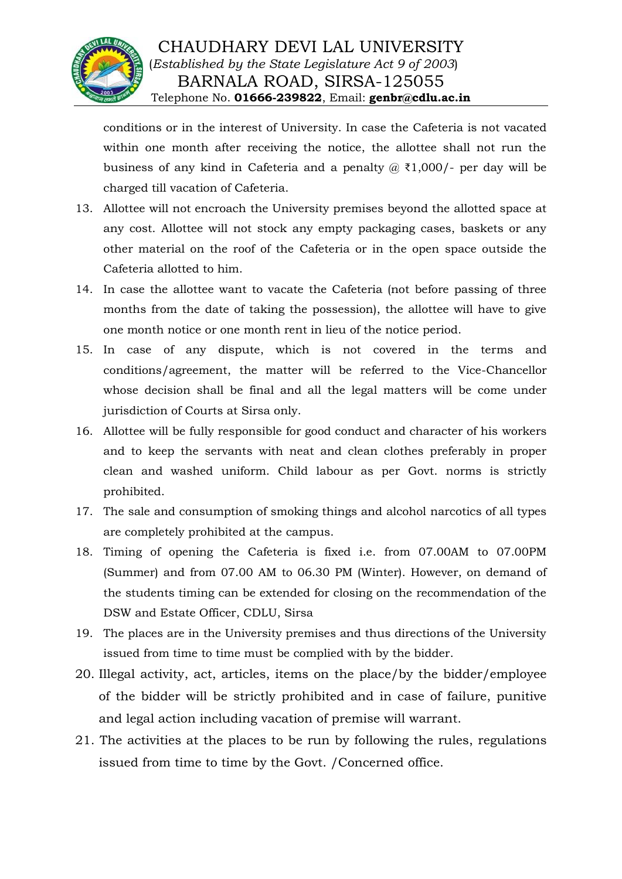

conditions or in the interest of University. In case the Cafeteria is not vacated within one month after receiving the notice, the allottee shall not run the business of any kind in Cafeteria and a penalty  $\omega$  ₹1,000/- per day will be charged till vacation of Cafeteria.

- 13. Allottee will not encroach the University premises beyond the allotted space at any cost. Allottee will not stock any empty packaging cases, baskets or any other material on the roof of the Cafeteria or in the open space outside the Cafeteria allotted to him.
- 14. In case the allottee want to vacate the Cafeteria (not before passing of three months from the date of taking the possession), the allottee will have to give one month notice or one month rent in lieu of the notice period.
- 15. In case of any dispute, which is not covered in the terms and conditions/agreement, the matter will be referred to the Vice-Chancellor whose decision shall be final and all the legal matters will be come under jurisdiction of Courts at Sirsa only.
- 16. Allottee will be fully responsible for good conduct and character of his workers and to keep the servants with neat and clean clothes preferably in proper clean and washed uniform. Child labour as per Govt. norms is strictly prohibited.
- 17. The sale and consumption of smoking things and alcohol narcotics of all types are completely prohibited at the campus.
- 18. Timing of opening the Cafeteria is fixed i.e. from 07.00AM to 07.00PM (Summer) and from 07.00 AM to 06.30 PM (Winter). However, on demand of the students timing can be extended for closing on the recommendation of the DSW and Estate Officer, CDLU, Sirsa
- 19. The places are in the University premises and thus directions of the University issued from time to time must be complied with by the bidder.
- 20. Illegal activity, act, articles, items on the place/by the bidder/employee of the bidder will be strictly prohibited and in case of failure, punitive and legal action including vacation of premise will warrant.
- 21. The activities at the places to be run by following the rules, regulations issued from time to time by the Govt. /Concerned office.